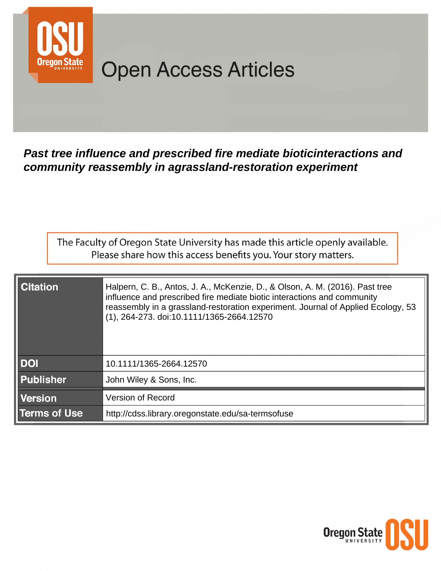

# **Open Access Articles**

Past tree influence and prescribed fire mediate bioticinteractions and community reassembly in agrassland-restoration experiment

The Faculty of Oregon State University has made this article openly available. Please share how this access benefits you. Your story matters.

| <b>Citation</b>     | Halpern, C. B., Antos, J. A., McKenzie, D., & Olson, A. M. (2016). Past tree<br>influence and prescribed fire mediate biotic interactions and community<br>reassembly in a grassland-restoration experiment. Journal of Applied Ecology, 53<br>(1), 264-273. doi:10.1111/1365-2664.12570 |
|---------------------|------------------------------------------------------------------------------------------------------------------------------------------------------------------------------------------------------------------------------------------------------------------------------------------|
| <b>DOI</b>          | 10.1111/1365-2664.12570                                                                                                                                                                                                                                                                  |
| <b>Publisher</b>    | John Wiley & Sons, Inc.                                                                                                                                                                                                                                                                  |
| <b>Version</b>      | Version of Record                                                                                                                                                                                                                                                                        |
| <b>Terms of Use</b> | http://cdss.library.oregonstate.edu/sa-termsofuse                                                                                                                                                                                                                                        |

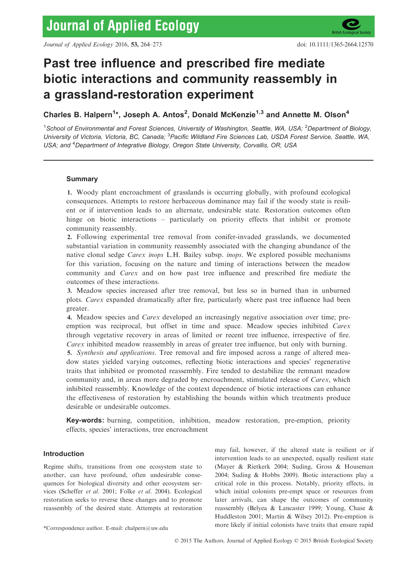

# Past tree influence and prescribed fire mediate biotic interactions and community reassembly in a grassland-restoration experiment

Charles B. Halpern<sup>1</sup>\*, Joseph A. Antos<sup>2</sup>, Donald McKenzie<sup>1,3</sup> and Annette M. Olson<sup>4</sup>

<sup>1</sup>School of Environmental and Forest Sciences, University of Washington, Seattle, WA, USA; <sup>2</sup>Department of Biology, University of Victoria, Victoria, BC, Canada; <sup>3</sup>Pacific Wildland Fire Sciences Lab, USDA Forest Service, Seattle, WA, USA; and <sup>4</sup>Department of Integrative Biology, Oregon State University, Corvallis, OR, USA

# Summary

1. Woody plant encroachment of grasslands is occurring globally, with profound ecological consequences. Attempts to restore herbaceous dominance may fail if the woody state is resilient or if intervention leads to an alternate, undesirable state. Restoration outcomes often hinge on biotic interactions – particularly on priority effects that inhibit or promote community reassembly.

2. Following experimental tree removal from conifer-invaded grasslands, we documented substantial variation in community reassembly associated with the changing abundance of the native clonal sedge *Carex inops* L.H. Bailey subsp. *inops*. We explored possible mechanisms for this variation, focusing on the nature and timing of interactions between the meadow community and *Carex* and on how past tree influence and prescribed fire mediate the outcomes of these interactions.

3. Meadow species increased after tree removal, but less so in burned than in unburned plots. Carex expanded dramatically after fire, particularly where past tree influence had been greater.

4. Meadow species and Carex developed an increasingly negative association over time; preemption was reciprocal, but offset in time and space. Meadow species inhibited Carex through vegetative recovery in areas of limited or recent tree influence, irrespective of fire. Carex inhibited meadow reassembly in areas of greater tree influence, but only with burning.

5. Synthesis and applications. Tree removal and fire imposed across a range of altered meadow states yielded varying outcomes, reflecting biotic interactions and species' regenerative traits that inhibited or promoted reassembly. Fire tended to destabilize the remnant meadow community and, in areas more degraded by encroachment, stimulated release of *Carex*, which inhibited reassembly. Knowledge of the context dependence of biotic interactions can enhance the effectiveness of restoration by establishing the bounds within which treatments produce desirable or undesirable outcomes.

Key-words: burning, competition, inhibition, meadow restoration, pre-emption, priority effects, species' interactions, tree encroachment

# Introduction

Regime shifts, transitions from one ecosystem state to another, can have profound, often undesirable consequences for biological diversity and other ecosystem services (Scheffer et al. 2001; Folke et al. 2004). Ecological restoration seeks to reverse these changes and to promote reassembly of the desired state. Attempts at restoration

may fail, however, if the altered state is resilient or if intervention leads to an unexpected, equally resilient state (Mayer & Rietkerk 2004; Suding, Gross & Houseman 2004; Suding & Hobbs 2009). Biotic interactions play a critical role in this process. Notably, priority effects, in which initial colonists pre-empt space or resources from later arrivals, can shape the outcomes of community reassembly (Belyea & Lancaster 1999; Young, Chase & Huddleston 2001; Martin & Wilsey 2012). Pre-emption is more likely if initial colonists have traits that ensure rapid \*Correspondence author. E-mail: chalpern@uw.edu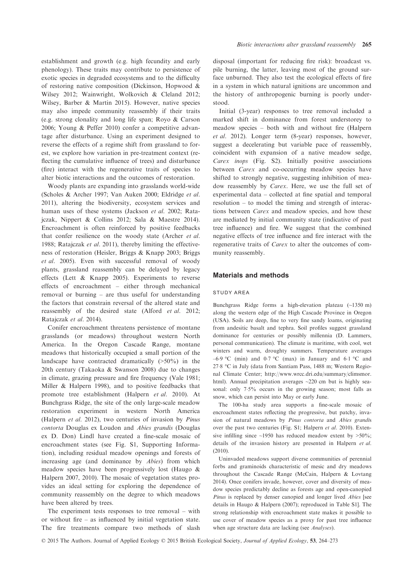establishment and growth (e.g. high fecundity and early phenology). These traits may contribute to persistence of exotic species in degraded ecosystems and to the difficulty of restoring native composition (Dickinson, Hopwood & Wilsey 2012; Wainwright, Wolkovich & Cleland 2012; Wilsey, Barber & Martin 2015). However, native species may also impede community reassembly if their traits (e.g. strong clonality and long life span; Royo & Carson 2006; Young & Peffer 2010) confer a competitive advantage after disturbance. Using an experiment designed to reverse the effects of a regime shift from grassland to forest, we explore how variation in pre-treatment context (reflecting the cumulative influence of trees) and disturbance (fire) interact with the regenerative traits of species to alter biotic interactions and the outcomes of restoration.

Woody plants are expanding into grasslands world-wide (Scholes & Archer 1997; Van Auken 2000; Eldridge et al. 2011), altering the biodiversity, ecosystem services and human uses of these systems (Jackson et al. 2002; Ratajczak, Nippert & Collins 2012; Sala & Maestre 2014). Encroachment is often reinforced by positive feedbacks that confer resilience on the woody state (Archer et al. 1988; Ratajczak et al. 2011), thereby limiting the effectiveness of restoration (Heisler, Briggs & Knapp 2003; Briggs et al. 2005). Even with successful removal of woody plants, grassland reassembly can be delayed by legacy effects (Lett & Knapp 2005). Experiments to reverse effects of encroachment – either through mechanical removal or burning – are thus useful for understanding the factors that constrain reversal of the altered state and reassembly of the desired state (Alford et al. 2012; Ratajczak et al. 2014).

Conifer encroachment threatens persistence of montane grasslands (or meadows) throughout western North America. In the Oregon Cascade Range, montane meadows that historically occupied a small portion of the landscape have contracted dramatically (>50%) in the 20th century (Takaoka & Swanson 2008) due to changes in climate, grazing pressure and fire frequency (Vale 1981; Miller & Halpern 1998), and to positive feedbacks that promote tree establishment (Halpern et al. 2010). At Bunchgrass Ridge, the site of the only large-scale meadow restoration experiment in western North America (Halpern et al. 2012), two centuries of invasion by Pinus contorta Douglas ex Loudon and Abies grandis (Douglas ex D. Don) Lindl have created a fine-scale mosaic of encroachment states (see Fig. S1, Supporting Information), including residual meadow openings and forests of increasing age (and dominance by Abies) from which meadow species have been progressively lost (Haugo & Halpern 2007, 2010). The mosaic of vegetation states provides an ideal setting for exploring the dependence of community reassembly on the degree to which meadows have been altered by trees.

The experiment tests responses to tree removal – with or without fire – as influenced by initial vegetation state. The fire treatments compare two methods of slash

disposal (important for reducing fire risk): broadcast vs. pile burning, the latter, leaving most of the ground surface unburned. They also test the ecological effects of fire in a system in which natural ignitions are uncommon and the history of anthropogenic burning is poorly understood.

Initial (3-year) responses to tree removal included a marked shift in dominance from forest understorey to meadow species – both with and without fire (Halpern et al. 2012). Longer term (8-year) responses, however, suggest a decelerating but variable pace of reassembly, coincident with expansion of a native meadow sedge, Carex inops (Fig. S2). Initially positive associations between *Carex* and co-occurring meadow species have shifted to strongly negative, suggesting inhibition of meadow reassembly by Carex. Here, we use the full set of experimental data – collected at fine spatial and temporal resolution – to model the timing and strength of interactions between Carex and meadow species, and how these are mediated by initial community state (indicative of past tree influence) and fire. We suggest that the combined negative effects of tree influence and fire interact with the regenerative traits of Carex to alter the outcomes of community reassembly.

#### Materials and methods

#### STUDY AREA

Bunchgrass Ridge forms a high-elevation plateau (~1350 m) along the western edge of the High Cascade Province in Oregon (USA). Soils are deep, fine to very fine sandy loams, originating from andesitic basalt and tephra. Soil profiles suggest grassland dominance for centuries or possibly millennia (D. Lammers, personal communication). The climate is maritime, with cool, wet winters and warm, droughty summers. Temperature averages –6.9 °C (min) and 0.7 °C (max) in January and 6.1 °C and 278 °C in July (data from Santiam Pass, 1488 m; Western Regional Climate Center; [http://www.wrcc.dri.edu/summary/climsmor.](http://www.wrcc.dri.edu/summary/climsmor.html) [html](http://www.wrcc.dri.edu/summary/climsmor.html)). Annual precipitation averages ~220 cm but is highly seasonal: only 7.5% occurs in the growing season; most falls as snow, which can persist into May or early June.

The 100-ha study area supports a fine-scale mosaic of encroachment states reflecting the progressive, but patchy, invasion of natural meadows by Pinus contorta and Abies grandis over the past two centuries (Fig. S1; Halpern et al. 2010). Extensive infilling since  $\sim$ 1950 has reduced meadow extent by  $>$ 50%; details of the invasion history are presented in Halpern et al. (2010).

Uninvaded meadows support diverse communities of perennial forbs and graminoids characteristic of mesic and dry meadows throughout the Cascade Range (McCain, Halpern & Lovtang 2014). Once conifers invade, however, cover and diversity of meadow species predictably decline as forests age and open-canopied Pinus is replaced by denser canopied and longer lived Abies [see details in Haugo & Halpern (2007); reproduced in Table S1]. The strong relationship with encroachment state makes it possible to use cover of meadow species as a proxy for past tree influence when age structure data are lacking (see Analyses).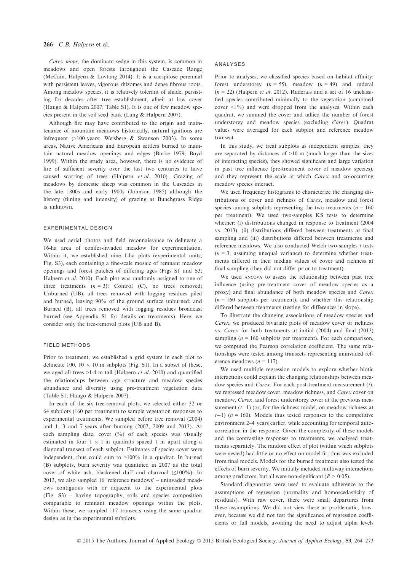#### 266 C.B. Halpern et al.

Carex inops, the dominant sedge in this system, is common in meadows and open forests throughout the Cascade Range (McCain, Halpern & Lovtang 2014). It is a caespitose perennial with persistent leaves, vigorous rhizomes and dense fibrous roots. Among meadow species, it is relatively tolerant of shade, persisting for decades after tree establishment, albeit at low cover (Haugo & Halpern 2007; Table S1). It is one of few meadow species present in the soil seed bank (Lang & Halpern 2007).

Although fire may have contributed to the origin and maintenance of mountain meadows historically, natural ignitions are infrequent (>100 years; Weisberg & Swanson 2003). In some areas, Native Americans and European settlers burned to maintain natural meadow openings and edges (Burke 1979; Boyd 1999). Within the study area, however, there is no evidence of fire of sufficient severity over the last two centuries to have caused scarring of trees (Halpern et al. 2010). Grazing of meadows by domestic sheep was common in the Cascades in the late 1800s and early 1900s (Johnson 1985) although the history (timing and intensity) of grazing at Bunchgrass Ridge is unknown.

#### EXPERIMENTAL DESIGN

We used aerial photos and field reconnaissance to delineate a 16-ha area of conifer-invaded meadow for experimentation. Within it, we established nine 1-ha plots (experimental units; Fig. S3), each containing a fine-scale mosaic of remnant meadow openings and forest patches of differing ages (Figs S1 and S3; Halpern et al. 2010). Each plot was randomly assigned to one of three treatments  $(n = 3)$ : Control (C), no trees removed; Unburned (UB), all trees removed with logging residues piled and burned, leaving 90% of the ground surface unburned; and Burned (B), all trees removed with logging residues broadcast burned (see Appendix S1 for details on treatments). Here, we consider only the tree-removal plots (UB and B).

#### FIELD METHODS

Prior to treatment, we established a grid system in each plot to delineate 100,  $10 \times 10$  m subplots (Fig. S1). In a subset of these, we aged all trees  $>1.4$  m tall (Halpern et al. 2010) and quantified the relationships between age structure and meadow species abundance and diversity using pre-treatment vegetation data (Table S1; Haugo & Halpern 2007).

In each of the six tree-removal plots, we selected either 32 or 64 subplots (160 per treatment) to sample vegetation responses to experimental treatments. We sampled before tree removal (2004) and 1, 3 and 7 years after burning (2007, 2009 and 2013). At each sampling date, cover (%) of each species was visually estimated in four  $1 \times 1$  m quadrats spaced 1 m apart along a diagonal transect of each subplot. Estimates of species cover were independent, thus could sum to >100% in a quadrat. In burned (B) subplots, burn severity was quantified in 2007 as the total cover of white ash, blackened duff and charcoal  $(\leq 100\%)$ . In 2013, we also sampled 16 'reference meadows' – uninvaded meadows contiguous with or adjacent to the experimental plots (Fig. S3) – having topography, soils and species composition comparable to remnant meadow openings within the plots. Within these, we sampled 117 transects using the same quadrat design as in the experimental subplots.

#### ANALYSES

Prior to analyses, we classified species based on habitat affinity: forest understorey  $(n = 55)$ , meadow  $(n = 49)$  and ruderal  $(n = 22)$  (Halpern *et al.* 2012). Ruderals and a set of 16 unclassified species contributed minimally to the vegetation (combined cover <1%) and were dropped from the analyses. Within each quadrat, we summed the cover and tallied the number of forest understorey and meadow species (excluding Carex). Quadrat values were averaged for each subplot and reference meadow transect.

In this study, we treat subplots as independent samples: they are separated by distances of >10 m (much larger than the sizes of interacting species), they showed significant and large variation in past tree influence (pre-treatment cover of meadow species), and they represent the scale at which Carex and co-occurring meadow species interact.

We used frequency histograms to characterize the changing distributions of cover and richness of Carex, meadow and forest species among subplots representing the two treatments ( $n = 160$ ) per treatment). We used two-samples KS tests to determine whether: (i) distributions changed in response to treatment (2004) vs. 2013), (ii) distributions differed between treatments at final sampling and (iii) distributions differed between treatments and reference meadows. We also conducted Welch two-samples t-tests  $(n = 3,$  assuming unequal variance) to determine whether treatments differed in their median values of cover and richness at final sampling (they did not differ prior to treatment).

We used ANCOVA to assess the relationship between past tree influence (using pre-treatment cover of meadow species as a proxy) and final abundance of both meadow species and Carex  $(n = 160$  subplots per treatment), and whether this relationship differed between treatments (testing for differences in slope).

To illustrate the changing associations of meadow species and Carex, we produced bivariate plots of meadow cover or richness vs. Carex for both treatments at initial (2004) and final (2013) sampling ( $n = 160$  subplots per treatment). For each comparison, we computed the Pearson correlation coefficient. The same relationships were tested among transects representing uninvaded reference meadows ( $n = 117$ ).

We used multiple regression models to explore whether biotic interactions could explain the changing relationships between meadow species and *Carex*. For each post-treatment measurement (*t*), we regressed meadow cover, meadow richness, and Carex cover on meadow, Carex, and forest understorey cover at the previous measurement  $(t-1)$  (or, for the richness model, on meadow richness at  $t-1$ ) ( $n = 160$ ). Models thus tested responses to the competitive environment 2–4 years earlier, while accounting for temporal autocorrelation in the response. Given the complexity of these models and the contrasting responses to treatments, we analysed treatments separately. The random effect of plot (within which subplots were nested) had little or no effect on model fit, thus was excluded from final models. Models for the burned treatment also tested the effects of burn severity. We initially included multiway interactions among predictors, but all were non-significant ( $P > 0.05$ ).

Standard diagnostics were used to evaluate adherence to the assumptions of regression (normality and homoscedasticity of residuals). With raw cover, there were small departures from these assumptions. We did not view these as problematic, however, because we did not test the significance of regression coefficients or full models, avoiding the need to adjust alpha levels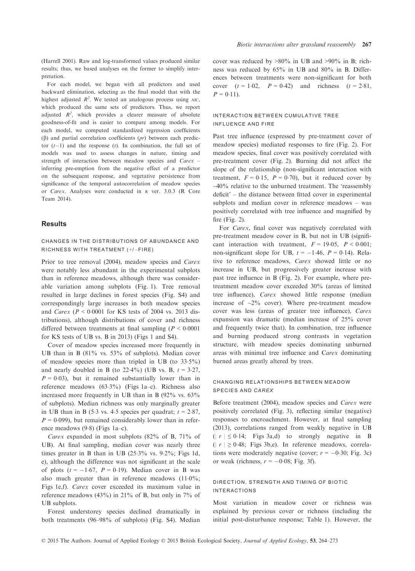(Harrell 2001). Raw and log-transformed values produced similar results; thus, we based analyses on the former to simplify interpretation.

For each model, we began with all predictors and used backward elimination, selecting as the final model that with the highest adjusted  $R^2$ . We tested an analogous process using AIC, which produced the same sets of predictors. Thus, we report adjusted  $R^2$ , which provides a clearer measure of absolute goodness-of-fit and is easier to compare among models. For each model, we computed standardized regression coefficients  $(\beta)$  and partial correlation coefficients  $(pr)$  between each predictor  $(t-1)$  and the response  $(t)$ . In combination, the full set of models was used to assess changes in nature, timing and strength of interaction between meadow species and Carex – inferring pre-emption from the negative effect of a predictor on the subsequent response, and vegetative persistence from significance of the temporal autocorrelation of meadow species or Carex. Analyses were conducted in <sup>R</sup> ver. 3.0.3 (R Core Team 2014).

#### **Results**

## CHANGES IN THE DISTRIBUTIONS OF ABUNDANCE AND RICHNESS WITH TREATMENT (+/-FIRE)

Prior to tree removal (2004), meadow species and Carex were notably less abundant in the experimental subplots than in reference meadows, although there was considerable variation among subplots (Fig. 1). Tree removal resulted in large declines in forest species (Fig. S4) and correspondingly large increases in both meadow species and *Carex* ( $P < 0.0001$  for KS tests of 2004 vs. 2013 distributions), although distributions of cover and richness differed between treatments at final sampling ( $P < 0.0001$ ) for KS tests of UB vs. B in 2013) (Figs 1 and S4).

Cover of meadow species increased more frequently in UB than in B (81% vs. 53% of subplots). Median cover of meadow species more than tripled in UB (to  $33.5\%$ ) and nearly doubled in B (to  $22.4\%$ ) (UB vs. B,  $t = 3.27$ ,  $P = 0.03$ , but it remained substantially lower than in reference meadows (633%) (Figs 1a–c). Richness also increased more frequently in UB than in B (92% vs. 63% of subplots). Median richness was only marginally greater in UB than in B (5.3 vs. 4.5 species per quadrat;  $t = 2.87$ ,  $P = 0.099$ , but remained considerably lower than in reference meadows  $(9.8)$  (Figs 1a–c).

Carex expanded in most subplots (82% of B, 71% of UB). At final sampling, median cover was nearly three times greater in B than in UB (253% vs. 92%; Figs 1d, e), although the difference was not significant at the scale of plots  $(t = -1.67, P = 0.19)$ . Median cover in B was also much greater than in reference meadows (110%; Figs 1e,f). Carex cover exceeded its maximum value in reference meadows  $(43\%)$  in  $21\%$  of B, but only in  $7\%$  of UB subplots.

Forest understorey species declined dramatically in both treatments (96–98% of subplots) (Fig. S4). Median cover was reduced by  $>80\%$  in UB and  $>90\%$  in B; richness was reduced by 65% in UB and 80% in B. Differences between treatments were non-significant for both cover  $(t = 1.02, P = 0.42)$  and richness  $(t = 2.81,$  $P = 0.11$ .

#### INTERACTION BETWEEN CUMULATIVE TREE INFLUENCE AND FIRE

Past tree influence (expressed by pre-treatment cover of meadow species) mediated responses to fire (Fig. 2). For meadow species, final cover was positively correlated with pre-treatment cover (Fig. 2). Burning did not affect the slope of the relationship (non-significant interaction with treatment,  $F = 0.15$ ,  $P = 0.70$ , but it reduced cover by  $\sim$ 40% relative to the unburned treatment. The 'reassembly' deficit' – the distance between fitted cover in experimental subplots and median cover in reference meadows – was positively correlated with tree influence and magnified by fire (Fig. 2).

For Carex, final cover was negatively correlated with pre-treatment meadow cover in B, but not in UB (significant interaction with treatment,  $F = 19.05$ ,  $P < 0.001$ ; non-significant slope for UB,  $t = -1.46$ ,  $P = 0.14$ ). Relative to reference meadows, Carex showed little or no increase in UB, but progressively greater increase with past tree influence in B (Fig. 2). For example, where pretreatment meadow cover exceeded 30% (areas of limited tree influence), Carex showed little response (median increase of  $\sim$ 2% cover). Where pre-treatment meadow cover was less (areas of greater tree influence), Carex expansion was dramatic (median increase of 25% cover and frequently twice that). In combination, tree influence and burning produced strong contrasts in vegetation structure, with meadow species dominating unburned areas with minimal tree influence and Carex dominating burned areas greatly altered by trees.

# CHANGING RELATIONSHIPS BETWEEN MEADOW SPECIES AND CAREX

Before treatment (2004), meadow species and Carex were positively correlated (Fig. 3), reflecting similar (negative) responses to encroachment. However, at final sampling (2013), correlations ranged from weakly negative in UB  $(| r | \le 0.14;$  Figs 3a,d) to strongly negative in B  $(|r| \ge 0.48$ ; Figs 3b,e). In reference meadows, correlations were moderately negative (cover;  $r = -0.30$ ; Fig. 3c) or weak (richness,  $r = -0.08$ ; Fig. 3f).

# DIRECTION, STRENGTH AND TIMING OF BIOTIC INTERACTIONS

Most variation in meadow cover or richness was explained by previous cover or richness (including the initial post-disturbance response; Table 1). However, the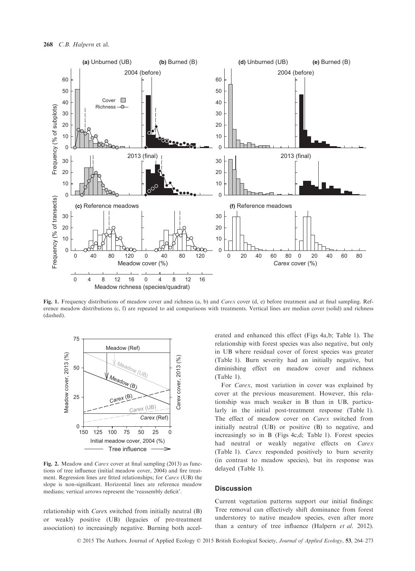

Fig. 1. Frequency distributions of meadow cover and richness (a, b) and Carex cover (d, e) before treatment and at final sampling. Reference meadow distributions (c, f) are repeated to aid comparisons with treatments. Vertical lines are median cover (solid) and richness (dashed).



Fig. 2. Meadow and Carex cover at final sampling (2013) as functions of tree influence (initial meadow cover, 2004) and fire treatment. Regression lines are fitted relationships; for Carex (UB) the slope is non-significant. Horizontal lines are reference meadow medians; vertical arrows represent the 'reassembly deficit'.

relationship with Carex switched from initially neutral (B) or weakly positive (UB) (legacies of pre-treatment association) to increasingly negative. Burning both accelerated and enhanced this effect (Figs 4a,b; Table 1). The relationship with forest species was also negative, but only in UB where residual cover of forest species was greater (Table 1). Burn severity had an initially negative, but diminishing effect on meadow cover and richness (Table 1).

For Carex, most variation in cover was explained by cover at the previous measurement. However, this relationship was much weaker in B than in UB, particularly in the initial post-treatment response (Table 1). The effect of meadow cover on Carex switched from initially neutral (UB) or positive (B) to negative, and increasingly so in B (Figs 4c,d; Table 1). Forest species had neutral or weakly negative effects on Carex (Table 1). Carex responded positively to burn severity (in contrast to meadow species), but its response was delayed (Table 1).

# **Discussion**

Current vegetation patterns support our initial findings: Tree removal can effectively shift dominance from forest understorey to native meadow species, even after more than a century of tree influence (Halpern et al. 2012).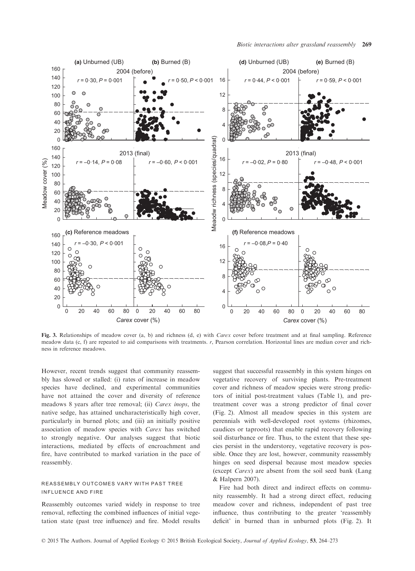

Fig. 3. Relationships of meadow cover (a, b) and richness (d, e) with Carex cover before treatment and at final sampling. Reference meadow data (c, f) are repeated to aid comparisons with treatments. r, Pearson correlation. Horizontal lines are median cover and richness in reference meadows.

However, recent trends suggest that community reassembly has slowed or stalled: (i) rates of increase in meadow species have declined, and experimental communities have not attained the cover and diversity of reference meadows 8 years after tree removal; (ii) Carex inops, the native sedge, has attained uncharacteristically high cover, particularly in burned plots; and (iii) an initially positive association of meadow species with Carex has switched to strongly negative. Our analyses suggest that biotic interactions, mediated by effects of encroachment and fire, have contributed to marked variation in the pace of reassembly.

#### REASSEMBLY OUTCOMES VARY WITH PAST TREE INFLUENCE AND FIRE

Reassembly outcomes varied widely in response to tree removal, reflecting the combined influences of initial vegetation state (past tree influence) and fire. Model results suggest that successful reassembly in this system hinges on vegetative recovery of surviving plants. Pre-treatment cover and richness of meadow species were strong predictors of initial post-treatment values (Table 1), and pretreatment cover was a strong predictor of final cover (Fig. 2). Almost all meadow species in this system are perennials with well-developed root systems (rhizomes, caudices or taproots) that enable rapid recovery following soil disturbance or fire. Thus, to the extent that these species persist in the understorey, vegetative recovery is possible. Once they are lost, however, community reassembly hinges on seed dispersal because most meadow species (except Carex) are absent from the soil seed bank (Lang & Halpern 2007).

Fire had both direct and indirect effects on community reassembly. It had a strong direct effect, reducing meadow cover and richness, independent of past tree influence, thus contributing to the greater 'reassembly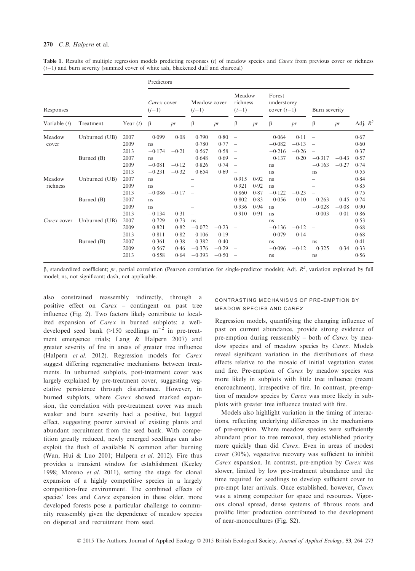|                    |               |            | Predictors             |         |                         |         |                               |      |                                        |         |                          |         |            |
|--------------------|---------------|------------|------------------------|---------|-------------------------|---------|-------------------------------|------|----------------------------------------|---------|--------------------------|---------|------------|
| Responses          |               |            | Carex cover<br>$(t-1)$ |         | Meadow cover<br>$(t-1)$ |         | Meadow<br>richness<br>$(t-1)$ |      | Forest<br>understorey<br>cover $(t-1)$ |         | Burn severity            |         |            |
| Variable $(t)$     | Treatment     | Year $(t)$ | β                      | pr      | β                       | pr      | β                             | pr   | β                                      | pr      | β                        | pr      | Adj. $R^2$ |
| Meadow<br>cover    | Unburned (UB) | 2007       | 0.099                  | 0.08    | 0.790                   | 0.80    | $\overline{\phantom{a}}$      |      | 0.064                                  | 0.11    | $\overline{\phantom{0}}$ |         | 0.67       |
|                    |               | 2009       | ns                     |         | 0.780                   | 0.77    |                               |      | $-0.082$                               | $-0.13$ |                          |         | 0.60       |
|                    |               | 2013       | $-0.174$               | $-0.21$ | 0.567                   | 0.58    | $\overline{\phantom{a}}$      |      | $-0.216$                               | $-0.26$ |                          |         | 0.37       |
|                    | Burned (B)    | 2007       | ns                     |         | 0.648                   | 0.69    |                               |      | 0.137                                  | 0.20    | $-0.317$                 | $-0.43$ | 0.57       |
|                    |               | 2009       | $-0.081$               | $-0.12$ | 0.826                   | 0.74    |                               |      | ns                                     |         | $-0.163$                 | $-0.27$ | 0.74       |
|                    |               | 2013       | $-0.231$               | $-0.32$ | 0.654                   | 0.69    |                               |      | ns                                     |         | ns                       |         | 0.55       |
| Meadow<br>richness | Unburned (UB) | 2007       | ns                     |         |                         |         | 0.915                         | 0.92 | ns                                     |         |                          |         | 0.84       |
|                    |               | 2009       | ns                     |         |                         |         | 0.921                         | 0.92 | ns                                     |         |                          |         | 0.85       |
|                    |               | 2013       | $-0.086$               | $-0.17$ |                         |         | 0.860                         | 0.87 | $-0.122$                               | $-0.23$ |                          |         | 0.75       |
|                    | Burned (B)    | 2007       | ns                     |         |                         |         | 0.802                         | 0.83 | 0.056                                  | 0.10    | $-0.263$                 | $-0.45$ | 0.74       |
|                    |               | 2009       | ns                     |         |                         |         | 0.936                         | 0.94 | ns                                     |         | $-0.028$                 | $-0.08$ | 0.90       |
|                    |               | 2013       | $-0.134$               | $-0.31$ |                         |         | 0.910                         | 0.91 | ns                                     |         | $-0.003$                 | $-0.01$ | 0.86       |
| Carex cover        | Unburned (UB) | 2007       | 0.729                  | 0.73    | ns                      |         |                               |      | ns                                     |         |                          |         | 0.53       |
|                    |               | 2009       | 0.821                  | 0.82    | $-0.072$                | $-0.23$ |                               |      | $-0.136$                               | $-0.12$ |                          |         | 0.68       |
|                    |               | 2013       | 0.811                  | 0.82    | $-0.106$                | $-0.19$ | $\overline{\phantom{a}}$      |      | $-0.079$                               | $-0.14$ |                          |         | 0.68       |
|                    | Burned (B)    | 2007       | 0.361                  | 0.38    | 0.382                   | 0.40    | $\overline{\phantom{a}}$      |      | ns                                     |         | ns                       |         | 0.41       |
|                    |               | 2009       | 0.567                  | 0.46    | $-0.376$                | $-0.29$ |                               |      | $-0.096$                               | $-0.12$ | 0.325                    | 0.34    | 0.33       |
|                    |               | 2013       | 0.558                  | 0.64    | $-0.393$                | $-0.50$ |                               |      | ns                                     |         | ns                       |         | 0.56       |

Table 1. Results of multiple regression models predicting responses  $(t)$  of meadow species and Carex from previous cover or richness  $(t-1)$  and burn severity (summed cover of white ash, blackened duff and charcoal)

 $\beta$ , standardized coefficient; pr, partial correlation (Pearson correlation for single-predictor models); Adj.  $R^2$ , variation explained by full model; ns, not significant; dash, not applicable.

also constrained reassembly indirectly, through a positive effect on Carex – contingent on past tree influence (Fig. 2). Two factors likely contribute to localized expansion of Carex in burned subplots: a welldeveloped seed bank (>150 seedlings  $m^{-2}$  in pre-treatment emergence trials; Lang & Halpern 2007) and greater severity of fire in areas of greater tree influence (Halpern et al. 2012). Regression models for Carex suggest differing regenerative mechanisms between treatments. In unburned subplots, post-treatment cover was largely explained by pre-treatment cover, suggesting vegetative persistence through disturbance. However, in burned subplots, where Carex showed marked expansion, the correlation with pre-treatment cover was much weaker and burn severity had a positive, but lagged effect, suggesting poorer survival of existing plants and abundant recruitment from the seed bank. With competition greatly reduced, newly emerged seedlings can also exploit the flush of available N common after burning (Wan, Hui & Luo 2001; Halpern et al. 2012). Fire thus provides a transient window for establishment (Keeley 1998; Moreno et al. 2011), setting the stage for clonal expansion of a highly competitive species in a largely competition-free environment. The combined effects of species' loss and *Carex* expansion in these older, more developed forests pose a particular challenge to community reassembly given the dependence of meadow species on dispersal and recruitment from seed.

#### CONTRASTING MECHANISMS OF PRE-EMPTION BY MEADOW SPECIES AND CAREX

Regression models, quantifying the changing influence of past on current abundance, provide strong evidence of pre-emption during reassembly – both of Carex by meadow species and of meadow species by Carex. Models reveal significant variation in the distributions of these effects relative to the mosaic of initial vegetation states and fire. Pre-emption of Carex by meadow species was more likely in subplots with little tree influence (recent encroachment), irrespective of fire. In contrast, pre-emption of meadow species by Carex was more likely in subplots with greater tree influence treated with fire.

Models also highlight variation in the timing of interactions, reflecting underlying differences in the mechanisms of pre-emption. Where meadow species were sufficiently abundant prior to tree removal, they established priority more quickly than did Carex. Even in areas of modest cover (30%), vegetative recovery was sufficient to inhibit Carex expansion. In contrast, pre-emption by Carex was slower, limited by low pre-treatment abundance and the time required for seedlings to develop sufficient cover to pre-empt later arrivals. Once established, however, Carex was a strong competitor for space and resources. Vigorous clonal spread, dense systems of fibrous roots and prolific litter production contributed to the development of near-monocultures (Fig. S2).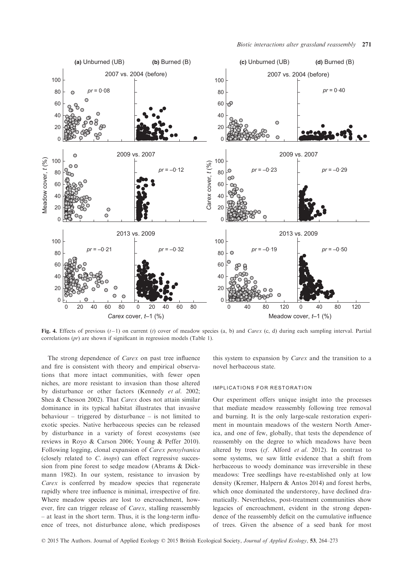

Fig. 4. Effects of previous  $(t-1)$  on current (t) cover of meadow species (a, b) and *Carex* (c, d) during each sampling interval. Partial correlations (pr) are shown if significant in regression models (Table 1).

The strong dependence of *Carex* on past tree influence and fire is consistent with theory and empirical observations that more intact communities, with fewer open niches, are more resistant to invasion than those altered by disturbance or other factors (Kennedy et al. 2002; Shea & Chesson 2002). That Carex does not attain similar dominance in its typical habitat illustrates that invasive behaviour – triggered by disturbance – is not limited to exotic species. Native herbaceous species can be released by disturbance in a variety of forest ecosystems (see reviews in Royo & Carson 2006; Young & Peffer 2010). Following logging, clonal expansion of Carex pensylvanica (closely related to C. inops) can effect regressive succession from pine forest to sedge meadow (Abrams & Dickmann 1982). In our system, resistance to invasion by Carex is conferred by meadow species that regenerate rapidly where tree influence is minimal, irrespective of fire. Where meadow species are lost to encroachment, however, fire can trigger release of Carex, stalling reassembly – at least in the short term. Thus, it is the long-term influence of trees, not disturbance alone, which predisposes this system to expansion by Carex and the transition to a novel herbaceous state.

#### IMPLICATIONS FOR RESTORATION

Our experiment offers unique insight into the processes that mediate meadow reassembly following tree removal and burning. It is the only large-scale restoration experiment in mountain meadows of the western North America, and one of few, globally, that tests the dependence of reassembly on the degree to which meadows have been altered by trees (cf. Alford et al. 2012). In contrast to some systems, we saw little evidence that a shift from herbaceous to woody dominance was irreversible in these meadows: Tree seedlings have re-established only at low density (Kremer, Halpern & Antos 2014) and forest herbs, which once dominated the understorey, have declined dramatically. Nevertheless, post-treatment communities show legacies of encroachment, evident in the strong dependence of the reassembly deficit on the cumulative influence of trees. Given the absence of a seed bank for most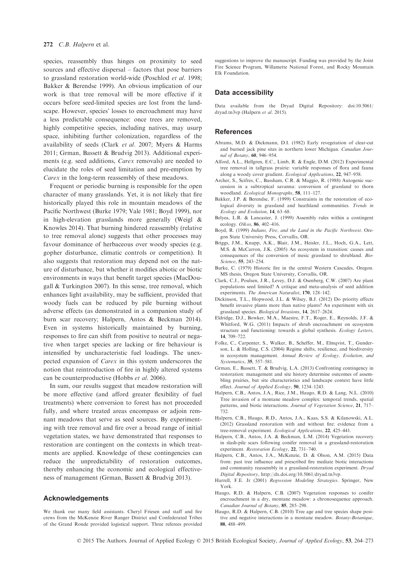species, reassembly thus hinges on proximity to seed sources and effective dispersal – factors that pose barriers to grassland restoration world-wide (Poschlod et al. 1998; Bakker & Berendse 1999). An obvious implication of our work is that tree removal will be more effective if it occurs before seed-limited species are lost from the landscape. However, species' losses to encroachment may have a less predictable consequence: once trees are removed, highly competitive species, including natives, may usurp space, inhibiting further colonization, regardless of the availability of seeds (Clark et al. 2007; Myers & Harms 2011; Grman, Bassett & Brudvig 2013). Additional experiments (e.g. seed additions, Carex removals) are needed to elucidate the roles of seed limitation and pre-emption by Carex in the long-term reassembly of these meadows.

Frequent or periodic burning is responsible for the open character of many grasslands. Yet, it is not likely that fire historically played this role in mountain meadows of the Pacific Northwest (Burke 1979; Vale 1981; Boyd 1999), nor in high-elevation grasslands more generally (Weigl & Knowles 2014). That burning hindered reassembly (relative to tree removal alone) suggests that other processes may favour dominance of herbaceous over woody species (e.g. gopher disturbance, climatic controls or competition). It also suggests that restoration may depend not on the nature of disturbance, but whether it modifies abiotic or biotic environments in ways that benefit target species (MacDougall & Turkington 2007). In this sense, tree removal, which enhances light availability, may be sufficient, provided that woody fuels can be reduced by pile burning without adverse effects (as demonstrated in a companion study of burn scar recovery; Halpern, Antos & Beckman 2014). Even in systems historically maintained by burning, responses to fire can shift from positive to neutral or negative when target species are lacking or fire behaviour is intensified by uncharacteristic fuel loadings. The unexpected expansion of Carex in this system underscores the notion that reintroduction of fire in highly altered systems can be counterproductive (Hobbs et al. 2006).

In sum, our results suggest that meadow restoration will be more effective (and afford greater flexibility of fuel treatments) where conversion to forest has not proceeded fully, and where treated areas encompass or adjoin remnant meadows that serve as seed sources. By experimenting with tree removal and fire over a broad range of initial vegetation states, we have demonstrated that responses to restoration are contingent on the contexts in which treatments are applied. Knowledge of these contingencies can reduce the unpredictability of restoration outcomes, thereby enhancing the economic and ecological effectiveness of management (Grman, Bassett & Brudvig 2013).

## Acknowledgements

We thank our many field assistants. Cheryl Friesen and staff and fire crews from the McKenzie River Ranger District and Confederated Tribes of the Grand Ronde provided logistical support. Three referees provided suggestions to improve the manuscript. Funding was provided by the Joint Fire Science Program, Willamette National Forest, and Rocky Mountain Elk Foundation.

#### Data accessibility

Data available from the Dryad Digital Repository: doi:[10.5061/](http://dx.doi.org/10.5061/dryad.tn3vp) [dryad.tn3vp](http://dx.doi.org/10.5061/dryad.tn3vp) (Halpern et al. 2015).

#### **References**

- Abrams, M.D. & Dickmann, D.I. (1982) Early revegetation of clear-cut and burned jack pine sites in northern lower Michigan. Canadian Journal of Botany, 60, 946–954.
- Alford, A.L., Hellgren, E.C., Limb, R. & Engle, D.M. (2012) Experimental tree removal in tallgrass prairie: variable responses of flora and fauna along a woody cover gradient. Ecological Applications, 22, 947–958.
- Archer, S., Scifres, C., Bassham, C.R. & Maggio, R. (1988) Autogenic succession in a subtropical savanna: conversion of grassland to thorn woodland. Ecological Monographs, 58, 111–127.
- Bakker, J.P. & Berendse, F. (1999) Constraints in the restoration of ecological diversity in grassland and heathland communities. Trends in Ecology and Evolution, 14, 63–68.
- Belyea, L.R. & Lancaster, J. (1999) Assembly rules within a contingent ecology. Oikos, 86, 402–416.
- Boyd, R. (1999) Indians, Fire, and the Land in the Pacific Northwest. Oregon State University Press, Corvallis, OR.
- Briggs, J.M., Knapp, A.K., Blair, J.M., Heisler, J.L., Hoch, G.A., Lett, M.S. & McCarron, J.K. (2005) An ecosystem in transition: causes and consequences of the conversion of mesic grassland to shrubland. Bio-Science, 55, 243–254.
- Burke, C. (1979) Historic fire in the central Western Cascades, Oregon. MS thesis, Oregon State University, Corvallis, OR.
- Clark, C.J., Poulsen, J.R., Levey, D.J. & Osenberg, C.W. (2007) Are plant populations seed limited? A critique and meta-analysis of seed addition experiments. The American Naturalist, 170, 128–142.
- Dickinson, T.L., Hopwood, J.L. & Wilsey, B.J. (2012) Do priority effects benefit invasive plants more than native plants? An experiment with six grassland species. Biological Invasions, 14, 2617–2624.
- Eldridge, D.J., Bowker, M.A., Maestre, F.T., Roger, E., Reynolds, J.F. & Whitford, W.G. (2011) Impacts of shrub encroachment on ecosystem structure and functioning: towards a global synthesis. Ecology Letters, 14, 709–722.
- Folke, C., Carpenter, S., Walker, B., Scheffer, M., Elmqvist, T., Gunderson, L. & Holling, C.S. (2004) Regime shifts, resilience, and biodiversity in ecosystem management. Annual Review of Ecology, Evolution, and Systematics, 35, 557–581.
- Grman, E., Bassett, T. & Brudvig, L.A. (2013) Confronting contingency in restoration: management and site history determine outcomes of assembling prairies, but site characteristics and landscape context have little effect. Journal of Applied Ecology, 50, 1234–1243.
- Halpern, C.B., Antos, J.A., Rice, J.M., Haugo, R.D. & Lang, N.L. (2010) Tree invasion of a montane meadow complex: temporal trends, spatial patterns, and biotic interactions. Journal of Vegetation Science, 21, 717-732.
- Halpern, C.B., Haugo, R.D., Antos, J.A., Kaas, S.S. & Kilanowski, A.L. (2012) Grassland restoration with and without fire: evidence from a tree-removal experiment. Ecological Applications, 22, 425–441.
- Halpern, C.B., Antos, J.A. & Beckman, L.M. (2014) Vegetation recovery in slash-pile scars following conifer removal in a grassland-restoration experiment. Restoration Ecology, 22, 731–740.
- Halpern, C.B., Antos, J.A., McKenzie, D. & Olson, A.M. (2015) Data from: past tree influence and prescribed fire mediate biotic interactions and community reassembly in a grassland-restoration experiment. Dryad Digital Repository, [http://dx.doi.org/10.5061/dryad.tn3vp.](http://dx.doi.org/10.5061/dryad.tn3vp)
- Harrell, F.E. Jr (2001) Regression Modeling Strategies. Springer, New York.
- Haugo, R.D. & Halpern, C.B. (2007) Vegetation responses to conifer encroachment in a dry, montane meadow: a chronosequence approach. Canadian Journal of Botany, 85, 285–298.
- Haugo, R.D. & Halpern, C.B. (2010) Tree age and tree species shape positive and negative interactions in a montane meadow. Botany-Botanique, 88, 488–499.